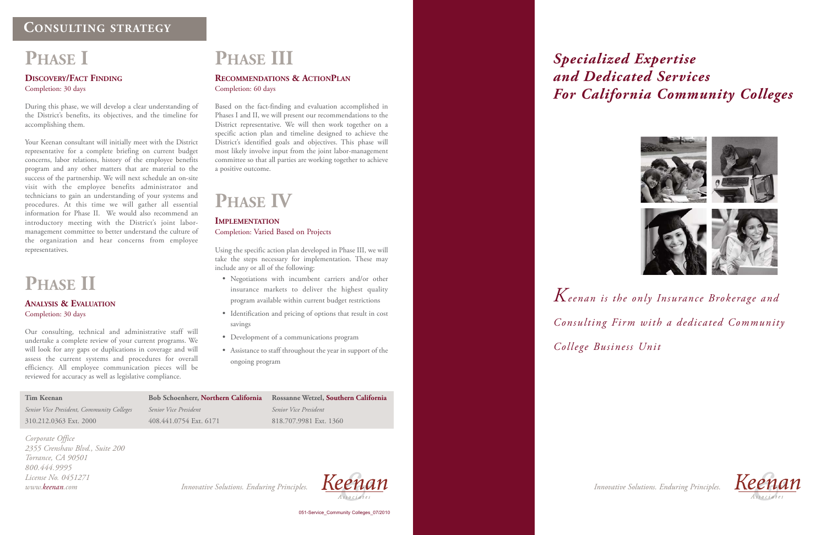## *Specialized Expertise and Dedicated Services For California Community Colleges*

*Corporate Office 2355 Crenshaw Blvd., Suite 200 Torrance, CA 90501 800.444.9995 License No. 0451271 www.keenan.com*

|  |  |  | Innovative Solutions. Enduring Principles. |
|--|--|--|--------------------------------------------|
|--|--|--|--------------------------------------------|



051-Service\_Community Colleges\_07/2010



*Keenan is the only Insurance Brokerage and Consulting Firm with a dedicated Community College Business Unit*

*Innovative Solutions. Enduring Principles. Innovative Solutions. Enduring Principles.*



# **PHASE I**

### **DISCOVERY/FACT FINDING** Completion: 30 days

During this phase, we will develop a clear understanding of the District's benefits, its objectives, and the timeline for accomplishing them.

Your Keenan consultant will initially meet with the District representative for a complete briefing on current budget concerns, labor relations, history of the employee benefits program and any other matters that are material to the success of the partnership. We will next schedule an on-site visit with the employee benefits administrator and technicians to gain an understanding of your systems and procedures. At this time we will gather all essential information for Phase II. We would also recommend an introductory meeting with the District's joint labormanagement committee to better understand the culture of the organization and hear concerns from employee representatives.

# **PHASE II**

#### **ANALYSIS & EVALUATION** Completion: 30 days

Our consulting, technical and administrative staff will undertake a complete review of your current programs. We will look for any gaps or duplications in coverage and will assess the current systems and procedures for overall efficiency. All employee communication pieces will be reviewed for accuracy as well as legislative compliance.

# **PHASE III**

### **RECOMMENDATIONS & ACTIONPLAN** Completion: 60 days

Based on the fact-finding and evaluation accomplished in Phases I and II, we will present our recommendations to the District representative. We will then work together on a specific action plan and timeline designed to achieve the District's identified goals and objectives. This phase will most likely involve input from the joint labor-management committee so that all parties are working together to achieve a positive outcome.

# **PHASE IV**

#### **IMPLEMENTATION**

#### Completion: Varied Based on Projects

Using the specific action plan developed in Phase III, we will take the steps necessary for implementation. These may include any or all of the following:

- Negotiations with incumbent carriers and/or other insurance markets to deliver the highest quality program available within current budget restrictions
- Identification and pricing of options that result in cost savings
- Development of a communications program
- Assistance to staff throughout the year in support of the ongoing program

### **CONSULTING STRATEGY**

#### **Tim Keenan**

*Senior Vice President, Community Colleges* 310.212.0363 Ext. 2000

**Bob Schoenherr, Northern California** *Senior Vice President* 408.441.0754 Ext. 6171

**Rossanne Wetzel, Southern California** *Senior Vice President* 818.707.9981 Ext. 1360